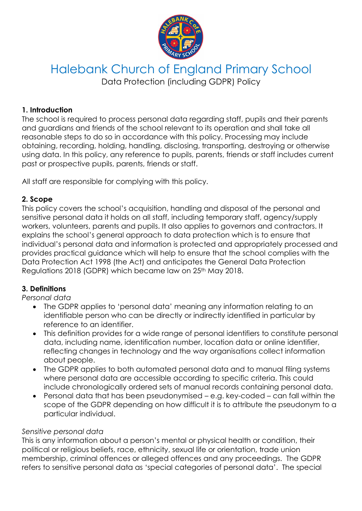

# Halebank Church of England Primary School Data Protection (including GDPR) Policy

### **1. Introduction**

The school is required to process personal data regarding staff, pupils and their parents and guardians and friends of the school relevant to its operation and shall take all reasonable steps to do so in accordance with this policy. Processing may include obtaining, recording, holding, handling, disclosing, transporting, destroying or otherwise using data. In this policy, any reference to pupils, parents, friends or staff includes current past or prospective pupils, parents, friends or staff.

All staff are responsible for complying with this policy.

### **2. Scope**

This policy covers the school's acquisition, handling and disposal of the personal and sensitive personal data it holds on all staff, including temporary staff, agency/supply workers, volunteers, parents and pupils. It also applies to governors and contractors. It explains the school's general approach to data protection which is to ensure that individual's personal data and information is protected and appropriately processed and provides practical guidance which will help to ensure that the school complies with the Data Protection Act 1998 (the Act) and anticipates the General Data Protection Regulations 2018 (GDPR) which became law on 25<sup>th</sup> May 2018.

# **3. Definitions**

*Personal data*

- The GDPR applies to 'personal data' meaning any information relating to an identifiable person who can be directly or indirectly identified in particular by reference to an identifier.
- This definition provides for a wide range of personal identifiers to constitute personal data, including name, identification number, location data or online identifier, reflecting changes in technology and the way organisations collect information about people.
- The GDPR applies to both automated personal data and to manual filing systems where personal data are accessible according to specific criteria. This could include chronologically ordered sets of manual records containing personal data.
- Personal data that has been pseudonymised e.g. key-coded can fall within the scope of the GDPR depending on how difficult it is to attribute the pseudonym to a particular individual.

#### *Sensitive personal data*

This is any information about a person's mental or physical health or condition, their political or religious beliefs, race, ethnicity, sexual life or orientation, trade union membership, criminal offences or alleged offences and any proceedings. The GDPR refers to sensitive personal data as 'special categories of personal data'. The special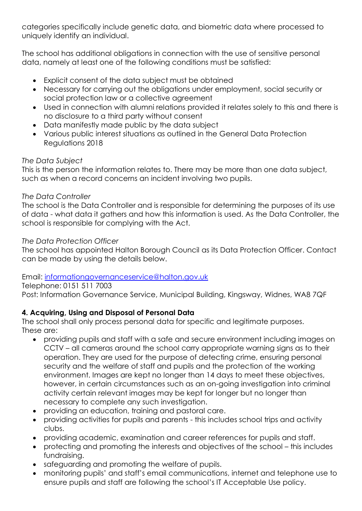categories specifically include genetic data, and biometric data where processed to uniquely identify an individual.

The school has additional obligations in connection with the use of sensitive personal data, namely at least one of the following conditions must be satisfied:

- Explicit consent of the data subject must be obtained
- Necessary for carrying out the obligations under employment, social security or social protection law or a collective agreement
- Used in connection with alumni relations provided it relates solely to this and there is no disclosure to a third party without consent
- Data manifestly made public by the data subject
- Various public interest situations as outlined in the General Data Protection Regulations 2018

# *The Data Subject*

This is the person the information relates to. There may be more than one data subject, such as when a record concerns an incident involving two pupils.

# *The Data Controller*

The school is the Data Controller and is responsible for determining the purposes of its use of data - what data it gathers and how this information is used. As the Data Controller, the school is responsible for complying with the Act.

# *The Data Protection Officer*

The school has appointed Halton Borough Council as its Data Protection Officer. Contact can be made by using the details below.

# Email: [informationgovernanceservice@halton.gov.uk](mailto:informationgovernanceservice@halton.gov.uk)

Telephone: 0151 511 7003 Post: Information Governance Service, Municipal Building, Kingsway, Widnes, WA8 7QF

# **4. Acquiring, Using and Disposal of Personal Data**

The school shall only process personal data for specific and legitimate purposes. These are:

- providing pupils and staff with a safe and secure environment including images on CCTV – all cameras around the school carry appropriate warning signs as to their operation. They are used for the purpose of detecting crime, ensuring personal security and the welfare of staff and pupils and the protection of the working environment. Images are kept no longer than 14 days to meet these objectives, however, in certain circumstances such as an on-going investigation into criminal activity certain relevant images may be kept for longer but no longer than necessary to complete any such investigation.
- providing an education, training and pastoral care.
- providing activities for pupils and parents this includes school trips and activity clubs.
- providing academic, examination and career references for pupils and staff.
- protecting and promoting the interests and objectives of the school this includes fundraising.
- safeguarding and promoting the welfare of pupils.
- monitoring pupils' and staff's email communications, internet and telephone use to ensure pupils and staff are following the school's IT Acceptable Use policy.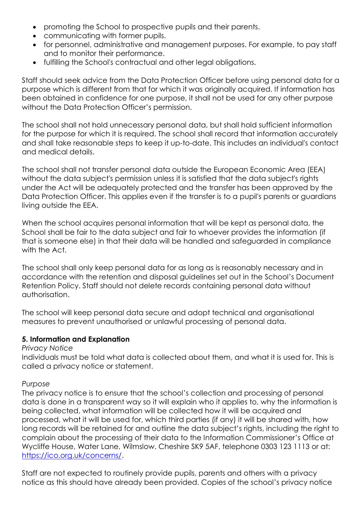- promoting the School to prospective pupils and their parents.
- communicating with former pupils.
- for personnel, administrative and management purposes. For example, to pay staff and to monitor their performance.
- fulfilling the School's contractual and other legal obligations.

Staff should seek advice from the Data Protection Officer before using personal data for a purpose which is different from that for which it was originally acquired. If information has been obtained in confidence for one purpose, it shall not be used for any other purpose without the Data Protection Officer's permission.

The school shall not hold unnecessary personal data, but shall hold sufficient information for the purpose for which it is required. The school shall record that information accurately and shall take reasonable steps to keep it up-to-date. This includes an individual's contact and medical details.

The school shall not transfer personal data outside the European Economic Area (EEA) without the data subject's permission unless it is satisfied that the data subject's rights under the Act will be adequately protected and the transfer has been approved by the Data Protection Officer. This applies even if the transfer is to a pupil's parents or guardians living outside the EEA.

When the school acquires personal information that will be kept as personal data, the School shall be fair to the data subject and fair to whoever provides the information (if that is someone else) in that their data will be handled and safeguarded in compliance with the Act.

The school shall only keep personal data for as long as is reasonably necessary and in accordance with the retention and disposal guidelines set out in the School's Document Retention Policy. Staff should not delete records containing personal data without authorisation.

The school will keep personal data secure and adopt technical and organisational measures to prevent unauthorised or unlawful processing of personal data.

# **5. Information and Explanation**

#### *Privacy Notice*

Individuals must be told what data is collected about them, and what it is used for. This is called a privacy notice or statement.

#### *Purpose*

The privacy notice is to ensure that the school's collection and processing of personal data is done in a transparent way so it will explain who it applies to, why the information is being collected, what information will be collected how it will be acquired and processed, what it will be used for, which third parties (if any) it will be shared with, how long records will be retained for and outline the data subject's rights, including the right to complain about the processing of their data to the Information Commissioner's Office at Wycliffe House, Water Lane, Wilmslow. Cheshire SK9 5AF, telephone 0303 123 1113 or at: [https://ico.org.uk/concerns/.](https://ico.org.uk/concerns/)

Staff are not expected to routinely provide pupils, parents and others with a privacy notice as this should have already been provided. Copies of the school's privacy notice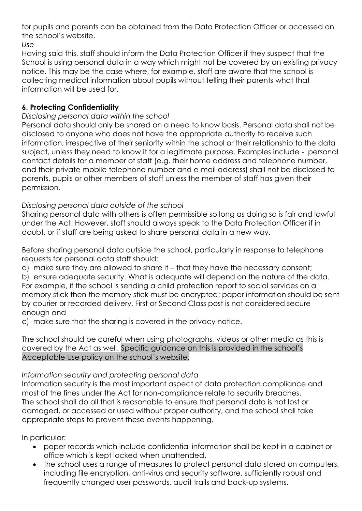for pupils and parents can be obtained from the Data Protection Officer or accessed on the school's website.

*Use*

Having said this, staff should inform the Data Protection Officer if they suspect that the School is using personal data in a way which might not be covered by an existing privacy notice. This may be the case where, for example, staff are aware that the school is collecting medical information about pupils without telling their parents what that information will be used for.

# **6. Protecting Confidentiality**

# *Disclosing personal data within the school*

Personal data should only be shared on a need to know basis. Personal data shall not be disclosed to anyone who does not have the appropriate authority to receive such information, irrespective of their seniority within the school or their relationship to the data subject, unless they need to know it for a legitimate purpose. Examples include - personal contact details for a member of staff (e.g. their home address and telephone number, and their private mobile telephone number and e-mail address) shall not be disclosed to parents, pupils or other members of staff unless the member of staff has given their permission.

# *Disclosing personal data outside of the school*

Sharing personal data with others is often permissible so long as doing so is fair and lawful under the Act. However, staff should always speak to the Data Protection Officer if in doubt, or if staff are being asked to share personal data in a new way.

Before sharing personal data outside the school, particularly in response to telephone requests for personal data staff should:

a) make sure they are allowed to share it – that they have the necessary consent;

b) ensure adequate security. What is adequate will depend on the nature of the data. For example, if the school is sending a child protection report to social services on a memory stick then the memory stick must be encrypted; paper information should be sent by courier or recorded delivery, First or Second Class post is not considered secure enough and

c) make sure that the sharing is covered in the privacy notice.

The school should be careful when using photographs, videos or other media as this is covered by the Act as well. Specific guidance on this is provided in the school's Acceptable Use policy on the school's website.

# *Information security and protecting personal data*

Information security is the most important aspect of data protection compliance and most of the fines under the Act for non-compliance relate to security breaches. The school shall do all that is reasonable to ensure that personal data is not lost or damaged, or accessed or used without proper authority, and the school shall take appropriate steps to prevent these events happening.

In particular:

- paper records which include confidential information shall be kept in a cabinet or office which is kept locked when unattended.
- the school uses a range of measures to protect personal data stored on computers, including file encryption, anti-virus and security software, sufficiently robust and frequently changed user passwords, audit trails and back-up systems.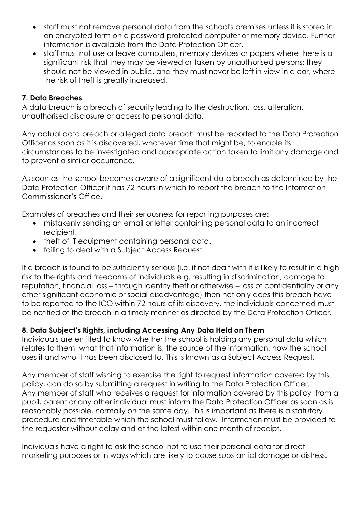- staff must not remove personal data from the school's premises unless it is stored in an encrypted form on a password protected computer or memory device. Further information is available from the Data Protection Officer.
- staff must not use or leave computers, memory devices or papers where there is a significant risk that they may be viewed or taken by unauthorised persons: they should not be viewed in public, and they must never be left in view in a car, where the risk of theft is greatly increased.

### **7. Data Breaches**

A data breach is a breach of security leading to the destruction, loss, alteration, unauthorised disclosure or access to personal data.

Any actual data breach or alleged data breach must be reported to the Data Protection Officer as soon as it is discovered, whatever time that might be, to enable its circumstances to be investigated and appropriate action taken to limit any damage and to prevent a similar occurrence.

As soon as the school becomes aware of a significant data breach as determined by the Data Protection Officer it has 72 hours in which to report the breach to the Information Commissioner's Office.

Examples of breaches and their seriousness for reporting purposes are:

- mistakenly sending an email or letter containing personal data to an incorrect recipient.
- theft of IT equipment containing personal data.
- failing to deal with a Subject Access Request.

If a breach is found to be sufficiently serious (i.e. if not dealt with it is likely to result in a high risk to the rights and freedoms of individuals e.g. resulting in discrimination, damage to reputation, financial loss – through identity theft or otherwise – loss of confidentiality or any other significant economic or social disadvantage) then not only does this breach have to be reported to the ICO within 72 hours of its discovery, the individuals concerned must be notified of the breach in a timely manner as directed by the Data Protection Officer.

# **8. Data Subject's Rights, including Accessing Any Data Held on Them**

Individuals are entitled to know whether the school is holding any personal data which relates to them, what that information is, the source of the information, how the school uses it and who it has been disclosed to. This is known as a Subject Access Request.

Any member of staff wishing to exercise the right to request information covered by this policy, can do so by submitting a request in writing to the Data Protection Officer. Any member of staff who receives a request for information covered by this policy from a pupil, parent or any other individual must inform the Data Protection Officer as soon as is reasonably possible, normally on the same day. This is important as there is a statutory procedure and timetable which the school must follow. Information must be provided to the requestor without delay and at the latest within one month of receipt.

Individuals have a right to ask the school not to use their personal data for direct marketing purposes or in ways which are likely to cause substantial damage or distress.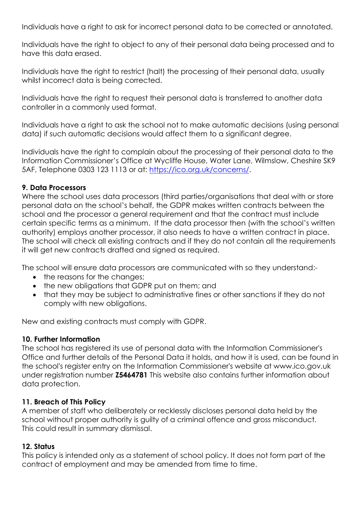Individuals have a right to ask for incorrect personal data to be corrected or annotated.

Individuals have the right to object to any of their personal data being processed and to have this data erased.

Individuals have the right to restrict (halt) the processing of their personal data, usually whilst incorrect data is being corrected.

Individuals have the right to request their personal data is transferred to another data controller in a commonly used format.

Individuals have a right to ask the school not to make automatic decisions (using personal data) if such automatic decisions would affect them to a significant degree.

Individuals have the right to complain about the processing of their personal data to the Information Commissioner's Office at Wycliffe House, Water Lane, Wilmslow, Cheshire SK9 5AF, Telephone 0303 123 1113 or at: [https://ico.org.uk/concerns/.](https://ico.org.uk/concerns/)

### **9. Data Processors**

Where the school uses data processors (third parties/organisations that deal with or store personal data on the school's behalf, the GDPR makes written contracts between the school and the processor a general requirement and that the contract must include certain specific terms as a minimum. If the data processor then (with the school's written authority) employs another processor, it also needs to have a written contract in place. The school will check all existing contracts and if they do not contain all the requirements it will get new contracts drafted and signed as required.

The school will ensure data processors are communicated with so they understand:-

- the reasons for the changes;
- the new obligations that GDPR put on them; and
- that they may be subject to administrative fines or other sanctions if they do not comply with new obligations.

New and existing contracts must comply with GDPR.

#### **10. Further Information**

The school has registered its use of personal data with the Information Commissioner's Office and further details of the Personal Data it holds, and how it is used, can be found in the school's register entry on the Information Commissioner's website at www.ico.gov.uk under registration number **Z5464781** This website also contains further information about data protection.

# **11. Breach of This Policy**

A member of staff who deliberately or recklessly discloses personal data held by the school without proper authority is guilty of a criminal offence and gross misconduct. This could result in summary dismissal.

# **12. Status**

This policy is intended only as a statement of school policy. It does not form part of the contract of employment and may be amended from time to time.